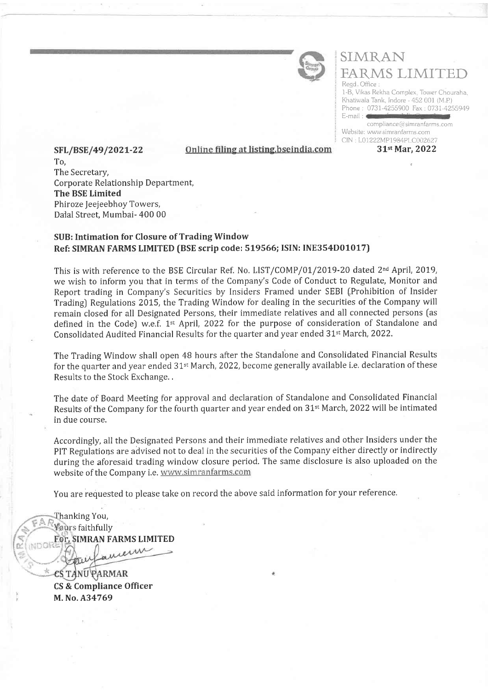

# SIMRAN FARMS LIMITED Regd Office

1-B, Vikas Rekha Complex. Tower Chouraha, Khatiwala Tank, Indore - 452 001 (M P) Phone : 0737-4255900 Fax : 0737-4255949 E-mail :

compliance @simranfarms. com Website: www simranfarms com CIN: L01222MP1984PLC002627

SFL/BSE/49/2021-22 0nline filing at listing.bseindia.com 31<sup>st</sup> Mar, 2022 To, The Secretary, Corporate Relationship Department, The BSE Limited Phiroze Jeejeebhoy Towers, Dalal Street, Mumbai- 400 00

### SUB: Intimation for Closure of Trading Window Ref: SIMRAN FARMS LIMITED (BSE scrip code: 519566; ISIN: INE354D01017)

This is with reference to the BSE Circular Ref. No. LIST/COMP/01/2019-20 dated 2<sup>nd</sup> April, 2019, we wish to inform you that in terms of the Company's Code of Conduct to Regulate, Monitor and Report trading in Company's Securities by Insiders Framed under SEBI [Prohibition of Insider Trading) Regulations 2015, the Trading Window for dealing in the securities of the Company will remain closed for all Designated Persons, their immediate relatives and all connected persons fas defined in the Code) w.e.f. 1<sup>st</sup> April, 2022 for the purpose of consideration of Standalone and Consolidated Audited Financial Results for the quarter and year ended 31<sup>st</sup> March, 2022.

The Trading Window shall open 48 hours after the Standalone and Consolidated Financial Results for the quarter and year ended 31<sup>st</sup> March, 2022, become generally available i.e. declaration of these Results to the Stock Exchange. ,

The date of Board Meeting for approval and declaration of Standalone and Consolidated Financial Results of the Company for the fourth quarter and year ended on 31<sup>st</sup> March, 2022 will be intimated in due course.

Accordingly, all the Designated Persons and their immediate relatives and other Insiders under the PIT Regulations are advised not to deal in the securities of the Company either directly or indirectly during the aforesaid trading window closure period. The same disclosure is also uploaded on the website of the Company i.e. www.simranfarms.com

You are requested to please take on record the above said information for your reference,

hanking You,  $\mathbb{A},\mathbb{R}$ *Yours faithfully* For, SIMRAN FARMS LIMITED uceun '',

**ESTANU PARMAR** CS & Compliance Officer M. No, A34769